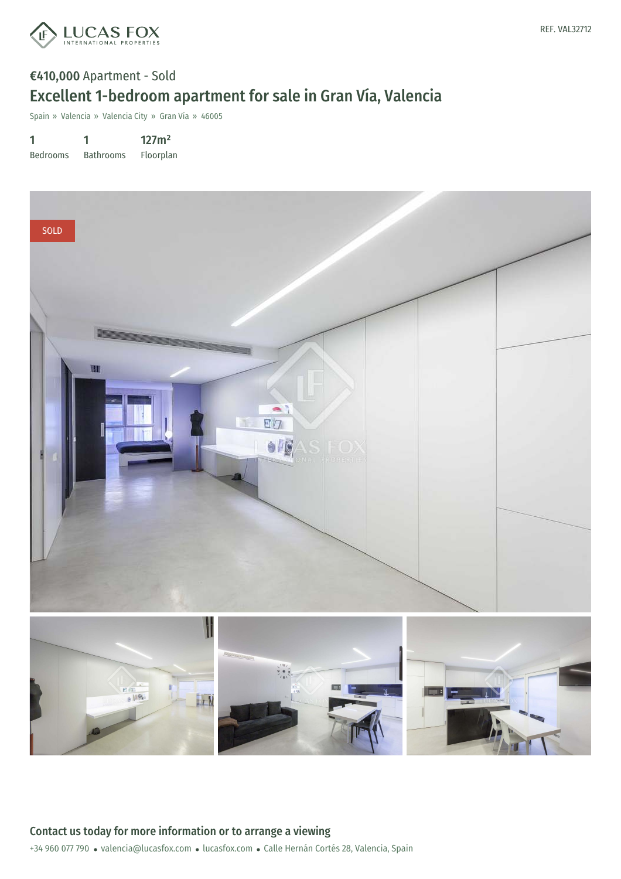

## €410,000 Apartment - Sold Excellent 1-bedroom apartment for sale in Gran Vía, Valencia

Spain » Valencia » Valencia City » Gran Vía » 46005

1 Bedrooms 1 Bathrooms 127m² Floorplan

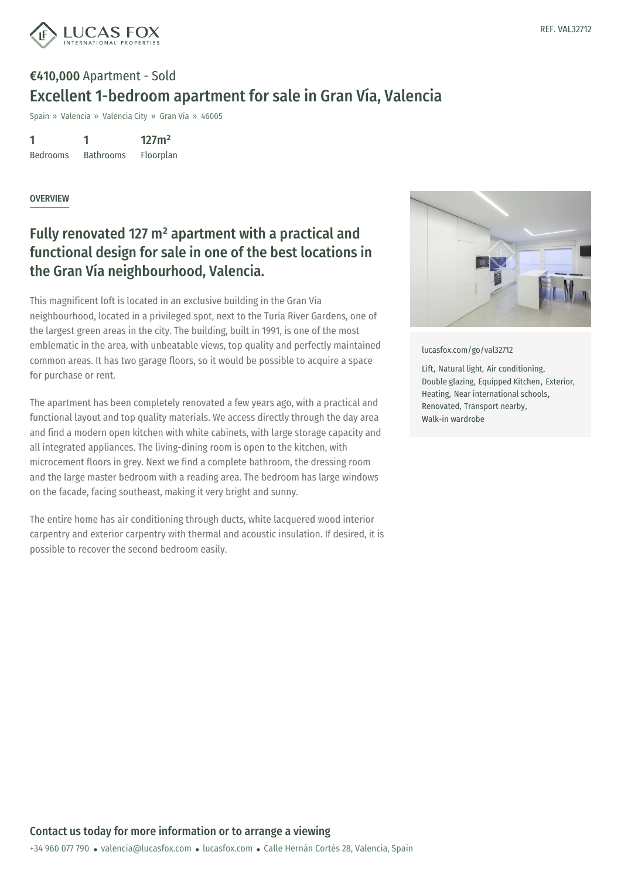

# €410,000 Apartment - Sold Excellent 1-bedroom apartment for sale in Gran Vía, Valencia

Spain » Valencia » Valencia City » Gran Vía » 46005

1 Bedrooms 1 Bathrooms 127m² Floorplan

OVERVIEW

### Fully renovated 127 m² apartment with a practical and functional design for sale in one of the best locations in the Gran Vía neighbourhood, Valencia.

This magnificent loft is located in an exclusive building in the Gran Vía neighbourhood, located in a privileged spot, next to the Turia River Gardens, one of the largest green areas in the city. The building, built in 1991, is one of the most emblematic in the area, with unbeatable views, top quality and perfectly maintained common areas. It has two garage floors, so it would be possible to acquire a space for purchase or rent.

The apartment has been completely renovated a few years ago, with a practical and functional layout and top quality materials. We access directly through the day area and find a modern open kitchen with white cabinets, with large storage capacity and all integrated appliances. The living-dining room is open to the kitchen, with microcement floors in grey. Next we find a complete bathroom, the dressing room and the large master bedroom with a reading area. The bedroom has large windows on the facade, facing southeast, making it very bright and sunny.

The entire home has air conditioning through ducts, white lacquered wood interior carpentry and exterior carpentry with thermal and acoustic insulation. If desired, it is possible to recover the second bedroom easily.



[lucasfox.com/go/val32712](https://www.lucasfox.com/go/val32712)

Lift, Natural light, Air conditioning, Double glazing, Equipped Kitchen, Exterior, Heating, Near international schools, Renovated, Transport nearby, Walk-in wardrobe